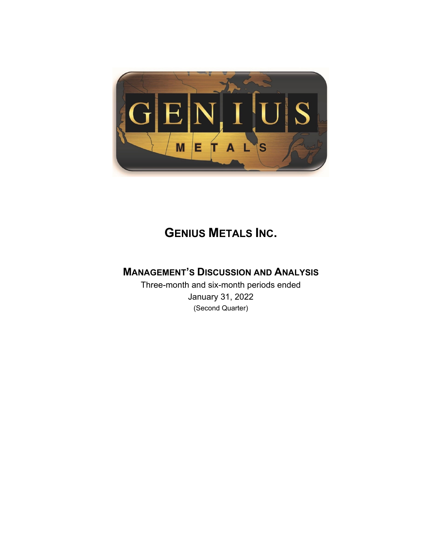

# **GENIUS METALS INC.**

# **MANAGEMENT'S DISCUSSION AND ANALYSIS**

Three-month and six-month periods ended January 31, 2022 (Second Quarter)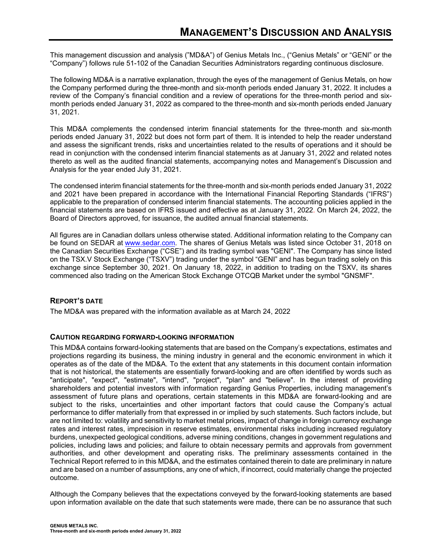This management discussion and analysis ("MD&A") of Genius Metals Inc., ("Genius Metals" or "GENI" or the "Company") follows rule 51-102 of the Canadian Securities Administrators regarding continuous disclosure.

The following MD&A is a narrative explanation, through the eyes of the management of Genius Metals, on how the Company performed during the three-month and six-month periods ended January 31, 2022. It includes a review of the Company's financial condition and a review of operations for the three-month period and sixmonth periods ended January 31, 2022 as compared to the three-month and six-month periods ended January 31, 2021.

This MD&A complements the condensed interim financial statements for the three-month and six-month periods ended January 31, 2022 but does not form part of them. It is intended to help the reader understand and assess the significant trends, risks and uncertainties related to the results of operations and it should be read in conjunction with the condensed interim financial statements as at January 31, 2022 and related notes thereto as well as the audited financial statements, accompanying notes and Management's Discussion and Analysis for the year ended July 31, 2021.

The condensed interim financial statements for the three-month and six-month periods ended January 31, 2022 and 2021 have been prepared in accordance with the International Financial Reporting Standards ("IFRS") applicable to the preparation of condensed interim financial statements. The accounting policies applied in the financial statements are based on IFRS issued and effective as at January 31, 2022. On March 24, 2022, the Board of Directors approved, for issuance, the audited annual financial statements.

All figures are in Canadian dollars unless otherwise stated. Additional information relating to the Company can be found on SEDAR at www.sedar.com. The shares of Genius Metals was listed since October 31, 2018 on the Canadian Securities Exchange ("CSE") and its trading symbol was "GENI". The Company has since listed on the TSX.V Stock Exchange ("TSXV") trading under the symbol "GENI" and has begun trading solely on this exchange since September 30, 2021. On January 18, 2022, in addition to trading on the TSXV, its shares commenced also trading on the American Stock Exchange OTCQB Market under the symbol "GNSMF".

# **REPORT'S DATE**

The MD&A was prepared with the information available as at March 24, 2022

# **CAUTION REGARDING FORWARD-LOOKING INFORMATION**

This MD&A contains forward-looking statements that are based on the Company's expectations, estimates and projections regarding its business, the mining industry in general and the economic environment in which it operates as of the date of the MD&A. To the extent that any statements in this document contain information that is not historical, the statements are essentially forward-looking and are often identified by words such as "anticipate", "expect", "estimate", "intend", "project", "plan" and "believe". In the interest of providing shareholders and potential investors with information regarding Genius Properties, including management's assessment of future plans and operations, certain statements in this MD&A are forward-looking and are subject to the risks, uncertainties and other important factors that could cause the Company's actual performance to differ materially from that expressed in or implied by such statements. Such factors include, but are not limited to: volatility and sensitivity to market metal prices, impact of change in foreign currency exchange rates and interest rates, imprecision in reserve estimates, environmental risks including increased regulatory burdens, unexpected geological conditions, adverse mining conditions, changes in government regulations and policies, including laws and policies; and failure to obtain necessary permits and approvals from government authorities, and other development and operating risks. The preliminary assessments contained in the Technical Report referred to in this MD&A, and the estimates contained therein to date are preliminary in nature and are based on a number of assumptions, any one of which, if incorrect, could materially change the projected outcome.

Although the Company believes that the expectations conveyed by the forward-looking statements are based upon information available on the date that such statements were made, there can be no assurance that such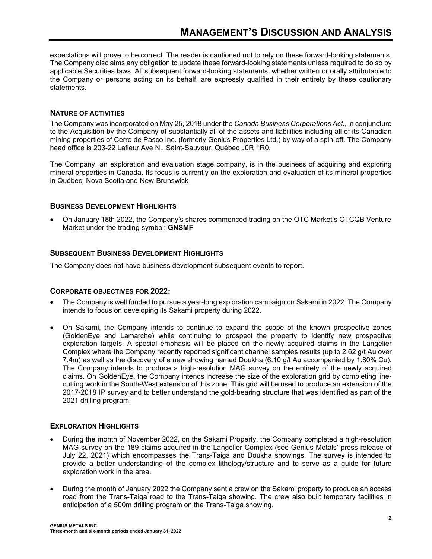expectations will prove to be correct. The reader is cautioned not to rely on these forward-looking statements. The Company disclaims any obligation to update these forward-looking statements unless required to do so by applicable Securities laws. All subsequent forward-looking statements, whether written or orally attributable to the Company or persons acting on its behalf, are expressly qualified in their entirety by these cautionary statements.

# **NATURE OF ACTIVITIES**

The Company was incorporated on May 25, 2018 under the *Canada Business Corporations Act*., in conjuncture to the Acquisition by the Company of substantially all of the assets and liabilities including all of its Canadian mining properties of Cerro de Pasco Inc. (formerly Genius Properties Ltd.) by way of a spin-off. The Company head office is 203-22 Lafleur Ave N., Saint-Sauveur, Québec J0R 1R0.

The Company, an exploration and evaluation stage company, is in the business of acquiring and exploring mineral properties in Canada. Its focus is currently on the exploration and evaluation of its mineral properties in Québec, Nova Scotia and New-Brunswick

# **BUSINESS DEVELOPMENT HIGHLIGHTS**

 On January 18th 2022, the Company's shares commenced trading on the OTC Market's OTCQB Venture Market under the trading symbol: **GNSMF**

# **SUBSEQUENT BUSINESS DEVELOPMENT HIGHLIGHTS**

The Company does not have business development subsequent events to report.

# **CORPORATE OBJECTIVES FOR 2022:**

- The Company is well funded to pursue a year-long exploration campaign on Sakami in 2022. The Company intends to focus on developing its Sakami property during 2022.
- On Sakami, the Company intends to continue to expand the scope of the known prospective zones (GoldenEye and Lamarche) while continuing to prospect the property to identify new prospective exploration targets. A special emphasis will be placed on the newly acquired claims in the Langelier Complex where the Company recently reported significant channel samples results (up to 2.62 g/t Au over 7.4m) as well as the discovery of a new showing named Doukha (6.10 g/t Au accompanied by 1.80% Cu). The Company intends to produce a high-resolution MAG survey on the entirety of the newly acquired claims. On GoldenEye, the Company intends increase the size of the exploration grid by completing linecutting work in the South-West extension of this zone. This grid will be used to produce an extension of the 2017-2018 IP survey and to better understand the gold-bearing structure that was identified as part of the 2021 drilling program.

# **EXPLORATION HIGHLIGHTS**

- During the month of November 2022, on the Sakami Property, the Company completed a high-resolution MAG survey on the 189 claims acquired in the Langelier Complex (see Genius Metals' press release of July 22, 2021) which encompasses the Trans-Taiga and Doukha showings. The survey is intended to provide a better understanding of the complex lithology/structure and to serve as a guide for future exploration work in the area.
- During the month of January 2022 the Company sent a crew on the Sakami property to produce an access road from the Trans-Taiga road to the Trans-Taiga showing. The crew also built temporary facilities in anticipation of a 500m drilling program on the Trans-Taiga showing.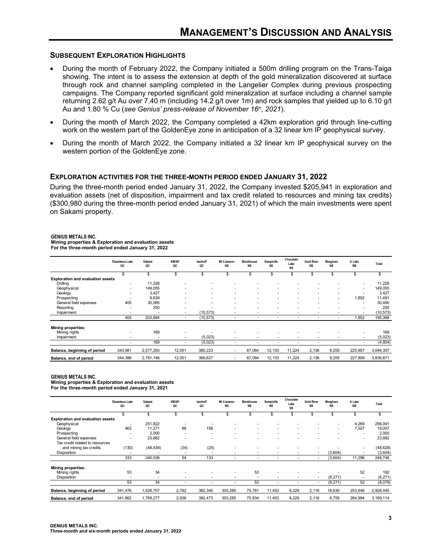#### **SUBSEQUENT EXPLORATION HIGHLIGHTS**

- During the month of February 2022, the Company initiated a 500m drilling program on the Trans-Taiga showing. The intent is to assess the extension at depth of the gold mineralization discovered at surface through rock and channel sampling completed in the Langelier Complex during previous prospecting campaigns. The Company reported significant gold mineralization at surface including a channel sample returning 2.62 g/t Au over 7.40 m (including 14.2 g/t over 1m) and rock samples that yielded up to 6.10 g/t Au and 1.80 % Cu (see Genius' press-release of November 16th, 2021).
- During the month of March 2022, the Company completed a 42km exploration grid through line-cutting work on the western part of the GoldenEye zone in anticipation of a 32 linear km IP geophysical survey.
- During the month of March 2022, the Company initiated a 32 linear km IP geophysical survey on the western portion of the GoldenEye zone.

#### **EXPLORATION ACTIVITIES FOR THE THREE-MONTH PERIOD ENDED JANUARY 31, 2022**

During the three-month period ended January 31, 2022, the Company invested \$205,941 in exploration and evaluation assets (net of disposition, impairment and tax credit related to resources and mining tax credits) (\$300,980 during the three-month period ended January 31, 2021) of which the main investments were spent on Sakami property.

#### **GENIUS METALS INC.**

**Mining properties & Exploration and evaluation assets For the three-month period ended January 31, 2022**

|                                          | Dissimieux Lake<br>QC    | Sakami<br>QC | <b>KM381</b><br>QC | Iserhoff<br>QC           | Mt Cameron<br><b>NS</b>  | <b>Blockhouse</b><br><b>NS</b> | Kemptville<br>NS | Chocolate<br>Lake<br><b>NS</b> | <b>Gold River</b><br><b>NS</b> | <b>Meaghers</b><br><b>NS</b> | A Lake<br><b>NB</b>      | Total     |
|------------------------------------------|--------------------------|--------------|--------------------|--------------------------|--------------------------|--------------------------------|------------------|--------------------------------|--------------------------------|------------------------------|--------------------------|-----------|
|                                          | \$                       | \$           | \$                 | \$                       | \$                       | \$                             | \$               |                                | \$                             | \$                           | \$                       |           |
| <b>Exploration and evaluation assets</b> |                          |              |                    |                          |                          |                                |                  |                                |                                |                              |                          |           |
| Drilling                                 | $\overline{\phantom{a}}$ | 11.228       |                    |                          |                          |                                |                  |                                |                                |                              | ۰                        | 11,228    |
| Geophysical                              | $\overline{\phantom{a}}$ | 149,055      |                    | $\overline{\phantom{a}}$ |                          |                                |                  |                                |                                |                              | ٠                        | 149,055   |
| Geology                                  | ۰                        | 3.427        | ۰                  | ۰                        |                          |                                | ۰                | $\overline{\phantom{a}}$       | ۰                              | ۰                            | $\overline{\phantom{a}}$ | 3,427     |
| Prospecting                              |                          | 9,639        |                    | ۰                        |                          |                                |                  | $\overline{\phantom{a}}$       | ۰                              | ۰                            | 1,852                    | 11,491    |
| General field expenses                   | 405                      | 30,085       |                    | ۰                        |                          |                                | ۰                | $\overline{\phantom{a}}$       |                                | ۰                            | $\overline{\phantom{a}}$ | 30,490    |
| Reporting                                |                          | 250          | ۰                  |                          | ٠                        |                                |                  | $\overline{\phantom{a}}$       | ۰                              |                              | ٠                        | 250       |
| Impairment                               | ۰                        |              |                    | (10, 573)                | $\overline{\phantom{a}}$ | ٠                              | ٠                | $\overline{\phantom{a}}$       | ٠                              |                              | $\overline{\phantom{a}}$ | (10, 573) |
|                                          | 405                      | 203,684      | ٠                  | (10, 573)                | ٠                        | ۰                              |                  | ۰                              | ٠                              | ۰                            | 1,852                    | 195,368   |
| <b>Mining properties:</b>                |                          |              |                    |                          |                          |                                |                  |                                |                                |                              |                          |           |
| Mining rights                            |                          | 169          |                    |                          | ۰                        |                                |                  |                                |                                |                              | ٠                        | 169       |
| Impairment                               |                          |              | ۰                  | (5,023)                  | ۰                        | ۰                              | ۰                | $\overline{\phantom{a}}$       | ۰                              |                              | ٠                        | (5,023)   |
|                                          | ۰                        | 169          | ۰                  | (5,023)                  | $\overline{\phantom{a}}$ | ٠                              | ۰                | ۰                              |                                | ۰                            | ٠                        | (4, 854)  |
| Balance, beginning of period             | 343,981                  | 2,577,293    | 12,051             | 385,223                  | ۰                        | 67,084                         | 12,153           | 11.224                         | 2,136                          | 9,255                        | 225,957                  | 3,646,357 |
| Balance, end of period                   | 344.386                  | 2,781,146    | 12,051             | 369,627                  | ٠                        | 67.084                         | 12,153           | 11.224                         | 2,136                          | 9,255                        | 227,809                  | 3,836,871 |

#### **GENIUS METALS INC.**

**Mining properties & Exploration and evaluation assets**

**For the three-month period ended January 31, 2021**

|                                          | <b>Dissimieux Lake</b><br>QC | Sakami<br>QC | <b>KM381</b><br>QC       | Iserhoff<br>QC | Mt Cameron<br><b>NS</b> | <b>Blockhouse</b><br><b>NS</b> | Kemptville<br><b>NS</b> | Chocolate<br>Lake<br><b>NS</b> | <b>Gold River</b><br><b>NS</b> | <b>Meaghers</b><br><b>NS</b> | A Lake<br><b>NB</b>      | Total     |
|------------------------------------------|------------------------------|--------------|--------------------------|----------------|-------------------------|--------------------------------|-------------------------|--------------------------------|--------------------------------|------------------------------|--------------------------|-----------|
|                                          | \$                           | \$           | \$                       | \$             | \$                      | \$                             | \$                      |                                | \$                             | ж                            | \$                       | \$        |
| <b>Exploration and evaluation assets</b> |                              |              |                          |                |                         |                                |                         |                                |                                |                              |                          |           |
| Geophysical                              | $\overline{\phantom{a}}$     | 251,822      |                          | ٠              |                         |                                |                         |                                |                                |                              | 4,269                    | 256,091   |
| Geology                                  | 463                          | 11,271       | 88                       | 158            |                         | ۰.                             |                         | ۰                              |                                | ۰.                           | 7,027                    | 19,007    |
| Prospecting                              | $\overline{\phantom{a}}$     | 2,000        | $\overline{\phantom{a}}$ | ۰              | ۰                       |                                |                         | ۰                              |                                | ۰.                           | ٠                        | 2,000     |
| General field expenses                   | $\overline{\phantom{a}}$     | 23,882       |                          | ۰              |                         | ۰                              |                         |                                |                                |                              | ٠                        | 23,882    |
| Tax credit related to resources          |                              |              |                          |                |                         |                                |                         |                                |                                |                              |                          |           |
| and mining tax credits                   | (130)                        | (48, 439)    | (34)                     | (25)           | ٠                       | ۰                              |                         |                                |                                |                              | ٠                        | (48, 628) |
| Disposition                              |                              |              |                          | ۰              |                         | ۰                              |                         | ۰                              |                                | (3,604)                      | ٠                        | (3,604)   |
|                                          | 333                          | 240,536      | 54                       | 133            | ۰                       | ۰                              |                         | ۰                              |                                | (3,604)                      | 11,296                   | 248,748   |
| <b>Mining properties:</b>                |                              |              |                          |                |                         |                                |                         |                                |                                |                              |                          |           |
| Mining rights                            | 53                           | 34           |                          | ۰              | ٠                       | 53                             |                         |                                |                                |                              | 52                       | 192       |
| Disposition                              | $\overline{\phantom{a}}$     |              |                          | ۰              | ٠                       | $\overline{\phantom{a}}$       |                         | $\overline{\phantom{a}}$       | $\overline{\phantom{a}}$       | (8, 271)                     | $\overline{\phantom{a}}$ | (8, 271)  |
|                                          | 53                           | 34           |                          | ۰              | ۰                       | 53                             |                         | ٠                              |                                | (8, 271)                     | 52                       | (8,079)   |
| Balance, beginning of period             | 341,476                      | 1,528,707    | 2,782                    | 382,340        | 303,285                 | 75,781                         | 11,453                  | 8,229                          | 2,116                          | 18,630                       | 253,646                  | 2,928,445 |
| Balance, end of period                   | 341,862                      | 1,769,277    | 2,836                    | 382,473        | 303,285                 | 75,834                         | 11,453                  | 8,229                          | 2,116                          | 6,755                        | 264,994                  | 3,169,114 |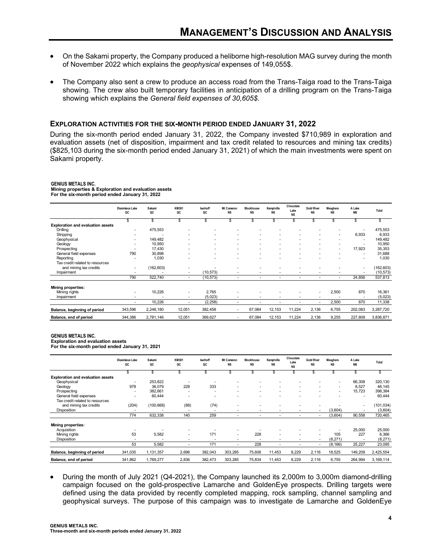- On the Sakami property, the Company produced a heliborne high-resolution MAG survey during the month of November 2022 which explains the *geophysical* expenses of 149,055\$.
- The Company also sent a crew to produce an access road from the Trans-Taiga road to the Trans-Taiga showing. The crew also built temporary facilities in anticipation of a drilling program on the Trans-Taiga showing which explains the *General field expenses of 30,605\$*.

#### **EXPLORATION ACTIVITIES FOR THE SIX-MONTH PERIOD ENDED JANUARY 31, 2022**

During the six-month period ended January 31, 2022, the Company invested \$710,989 in exploration and evaluation assets (net of disposition, impairment and tax credit related to resources and mining tax credits) (\$825,103 during the six-month period ended January 31, 2021) of which the main investments were spent on Sakami property.

#### **GENIUS METALS INC.**

**Mining properties & Exploration and evaluation assets For the six-month period ended January 31, 2022**

|                                          | <b>Dissimieux Lake</b><br>QC | Sakami<br>QC | <b>KM381</b><br>QC       | Iserhoff<br>QC | Mt Cameron<br><b>NS</b> | <b>Blockhouse</b><br><b>NS</b> | Kemptville<br><b>NS</b> | Chocolate<br>Lake<br><b>NS</b> | <b>Gold River</b><br><b>NS</b> | <b>Meaghers</b><br><b>NS</b> | A Lake<br><b>NB</b>      | Total      |
|------------------------------------------|------------------------------|--------------|--------------------------|----------------|-------------------------|--------------------------------|-------------------------|--------------------------------|--------------------------------|------------------------------|--------------------------|------------|
|                                          | S                            | \$           | S                        | S              | \$                      | \$                             | \$                      | S                              | \$                             | ä.                           | \$                       |            |
| <b>Exploration and evaluation assets</b> |                              |              |                          |                |                         |                                |                         |                                |                                |                              |                          |            |
| Drilling                                 |                              | 475,553      | ۰                        |                |                         |                                |                         |                                |                                |                              | $\blacksquare$           | 475,553    |
| Stripping                                |                              |              |                          |                |                         |                                |                         |                                |                                | ۰                            | 6,933                    | 6,933      |
| Geophysical                              |                              | 149.482      |                          |                |                         |                                |                         |                                |                                |                              | $\overline{\phantom{a}}$ | 149,482    |
| Geology                                  | $\overline{\phantom{a}}$     | 10,950       |                          |                |                         |                                | ٠                       |                                |                                | ٠                            | $\overline{\phantom{a}}$ | 10,950     |
| Prospecting                              |                              | 17,430       |                          |                |                         |                                |                         |                                |                                | ٠                            | 17.923                   | 35,353     |
| General field expenses                   | 790                          | 30,898       |                          |                |                         |                                |                         |                                |                                |                              | $\overline{\phantom{a}}$ | 31,688     |
| Reporting                                |                              | 1,030        |                          |                |                         |                                |                         |                                |                                |                              | $\overline{\phantom{a}}$ | 1,030      |
| Tax credit related to resources          |                              |              |                          |                |                         |                                |                         |                                |                                |                              |                          |            |
| and mining tax credits                   | $\overline{\phantom{a}}$     | (162, 603)   | ۰                        |                |                         |                                |                         |                                |                                |                              | $\blacksquare$           | (162, 603) |
| Impairment                               |                              |              | ٠                        | (10, 573)      |                         |                                | ٠                       |                                |                                |                              |                          | (10, 573)  |
|                                          | 790                          | 522,740      | $\sim$                   | (10, 573)      | ۰                       | ٠                              |                         | $\overline{\phantom{a}}$       | ۰.                             | ٠                            | 24,856                   | 537,813    |
| Mining properties:                       |                              |              |                          |                |                         |                                |                         |                                |                                |                              |                          |            |
| Mining rights                            | $\overline{\phantom{a}}$     | 10,226       | ٠                        | 2,765          |                         |                                |                         |                                | ٠                              | 2,500                        | 870                      | 16,361     |
| Impairment                               |                              |              | ٠                        | (5,023)        |                         |                                |                         |                                |                                |                              |                          | (5,023)    |
|                                          | $\overline{\phantom{a}}$     | 10,226       | $\overline{\phantom{a}}$ | (2, 258)       |                         | ۰                              |                         | $\overline{\phantom{a}}$       | $\overline{\phantom{a}}$       | 2,500                        | 870                      | 11,338     |
| Balance, beginning of period             | 343,596                      | 2,248,180    | 12,051                   | 382,458        | ۰                       | 67,084                         | 12,153                  | 11,224                         | 2,136                          | 6,755                        | 202,083                  | 3,287,720  |
| Balance, end of period                   | 344,386                      | 2,781,146    | 12,051                   | 369,627        | ٠                       | 67,084                         | 12,153                  | 11,224                         | 2,136                          | 9,255                        | 227,809                  | 3,836,871  |

#### **GENIUS METALS INC.**

**For the six-month period ended January 31, 2021**

|                                          | <b>Dissimieux Lake</b><br>QC | Sakami<br>QC | <b>KM381</b><br>QC       | Iserhoff<br>QC | Mt Cameron<br><b>NS</b> | <b>Blockhouse</b><br><b>NS</b> | Kemptville<br><b>NS</b> | Chocolate<br>Lake<br><b>NS</b> | <b>Gold River</b><br><b>NS</b> | <b>Meaghers</b><br><b>NS</b> | A Lake<br><b>NB</b>      | Total      |
|------------------------------------------|------------------------------|--------------|--------------------------|----------------|-------------------------|--------------------------------|-------------------------|--------------------------------|--------------------------------|------------------------------|--------------------------|------------|
|                                          | \$.                          | ä.           |                          |                |                         |                                |                         |                                |                                |                              | S                        |            |
| <b>Exploration and evaluation assets</b> |                              |              |                          |                |                         |                                |                         |                                |                                |                              |                          |            |
| Geophysical                              |                              | 253,822      |                          |                |                         |                                |                         |                                |                                |                              | 66,308                   | 320,130    |
| Geology                                  | 978                          | 36,079       | 228                      | 333            |                         |                                |                         |                                |                                | ٠                            | 8,527                    | 46,145     |
| Prospecting                              |                              | 382,661      | $\overline{\phantom{a}}$ |                |                         | ۰.                             | ۰                       |                                |                                | ۰                            | 15,723                   | 398,384    |
| General field expenses                   | $\overline{\phantom{a}}$     | 60,444       | $\overline{\phantom{a}}$ | ۰.             |                         | ۰                              | ۰                       |                                |                                |                              | $\overline{\phantom{a}}$ | 60,444     |
| Tax credit related to resources          |                              |              |                          |                |                         |                                |                         |                                |                                |                              |                          |            |
| and mining tax credits                   | (204)                        | (100, 668)   | (88)                     | (74)           |                         |                                |                         |                                |                                |                              | ٠                        | (101, 034) |
| Disposition                              | $\overline{\phantom{a}}$     |              | ۰.                       | ۰.             | ۰                       | ۰                              |                         | $\overline{\phantom{a}}$       | ۰.                             | (3,604)                      | $\overline{\phantom{a}}$ | (3,604)    |
|                                          | 774                          | 632,338      | 140                      | 259            | ۰                       | ۰                              | ۰                       |                                | ۰.                             | (3,604)                      | 90,558                   | 720,465    |
| <b>Mining properties:</b>                |                              |              |                          |                |                         |                                |                         |                                |                                |                              |                          |            |
| Acquisition                              |                              |              |                          |                |                         |                                |                         |                                |                                |                              | 25,000                   | 25,000     |
| Mining rights                            | 53                           | 5,582        | ۰                        | 171            | ۰.                      | 228                            | ٠                       |                                | ۰                              | 105                          | 227                      | 6,366      |
| Disposition                              |                              |              | ۰.                       |                | ۰                       |                                | ۰                       |                                | ۰                              | (8,271)                      |                          | (8, 271)   |
|                                          | 53                           | 5,582        | ۰                        | 171            | ۰                       | 228                            | ٠                       | $\overline{\phantom{a}}$       | ۰.                             | (8, 166)                     | 25,227                   | 23,095     |
| Balance, beginning of period             | 341,035                      | 1,131,357    | 2,696                    | 382,043        | 303,285                 | 75,606                         | 11,453                  | 8,229                          | 2,116                          | 18,525                       | 149,209                  | 2,425,554  |
| Balance, end of period                   | 341,862                      | 1,769,277    | 2,836                    | 382,473        | 303,285                 | 75,834                         | 11,453                  | 8,229                          | 2,116                          | 6,755                        | 264,994                  | 3,169,114  |

 During the month of July 2021 (Q4-2021), the Company launched its 2,000m to 3,000m diamond-drilling campaign focused on the gold-prospective Lamarche and GoldenEye prospects. Drilling targets were defined using the data provided by recently completed mapping, rock sampling, channel sampling and geophysical surveys. The purpose of this campaign was to investigate de Lamarche and GoldenEye

**Exploration and evaluation assets**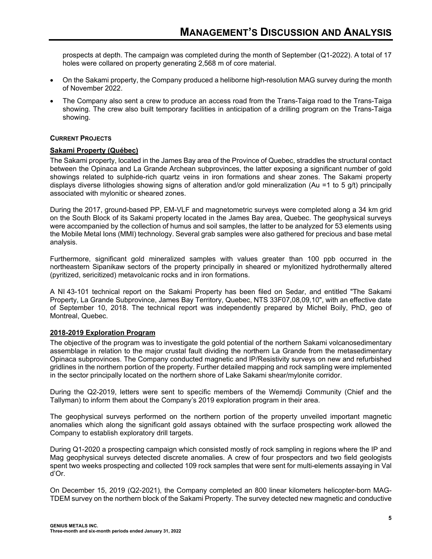prospects at depth. The campaign was completed during the month of September (Q1-2022). A total of 17 holes were collared on property generating 2,568 m of core material.

- On the Sakami property, the Company produced a heliborne high-resolution MAG survey during the month of November 2022.
- The Company also sent a crew to produce an access road from the Trans-Taiga road to the Trans-Taiga showing. The crew also built temporary facilities in anticipation of a drilling program on the Trans-Taiga showing.

#### **CURRENT PROJECTS**

#### **Sakami Property (Québec)**

The Sakami property, located in the James Bay area of the Province of Quebec, straddles the structural contact between the Opinaca and La Grande Archean subprovinces, the latter exposing a significant number of gold showings related to sulphide-rich quartz veins in iron formations and shear zones. The Sakami property displays diverse lithologies showing signs of alteration and/or gold mineralization (Au =1 to 5 g/t) principally associated with mylonitic or sheared zones.

During the 2017, ground-based PP, EM-VLF and magnetometric surveys were completed along a 34 km grid on the South Block of its Sakami property located in the James Bay area, Quebec. The geophysical surveys were accompanied by the collection of humus and soil samples, the latter to be analyzed for 53 elements using the Mobile Metal Ions (MMI) technology. Several grab samples were also gathered for precious and base metal analysis.

Furthermore, significant gold mineralized samples with values greater than 100 ppb occurred in the northeastern Sipanikaw sectors of the property principally in sheared or mylonitized hydrothermally altered (pyritized, sericitized) metavolcanic rocks and in iron formations.

A NI 43-101 technical report on the Sakami Property has been filed on Sedar, and entitled "The Sakami Property, La Grande Subprovince, James Bay Territory, Quebec, NTS 33F07,08,09,10", with an effective date of September 10, 2018. The technical report was independently prepared by Michel Boily, PhD, geo of Montreal, Quebec.

#### **2018-2019 Exploration Program**

The objective of the program was to investigate the gold potential of the northern Sakami volcanosedimentary assemblage in relation to the major crustal fault dividing the northern La Grande from the metasedimentary Opinaca subprovinces. The Company conducted magnetic and IP/Resistivity surveys on new and refurbished gridlines in the northern portion of the property. Further detailed mapping and rock sampling were implemented in the sector principally located on the northern shore of Lake Sakami shear/mylonite corridor.

During the Q2-2019, letters were sent to specific members of the Wememdji Community (Chief and the Tallyman) to inform them about the Company's 2019 exploration program in their area.

The geophysical surveys performed on the northern portion of the property unveiled important magnetic anomalies which along the significant gold assays obtained with the surface prospecting work allowed the Company to establish exploratory drill targets.

During Q1-2020 a prospecting campaign which consisted mostly of rock sampling in regions where the IP and Mag geophysical surveys detected discrete anomalies. A crew of four prospectors and two field geologists spent two weeks prospecting and collected 109 rock samples that were sent for multi-elements assaying in Val d'Or.

On December 15, 2019 (Q2-2021), the Company completed an 800 linear kilometers helicopter-born MAG-TDEM survey on the northern block of the Sakami Property. The survey detected new magnetic and conductive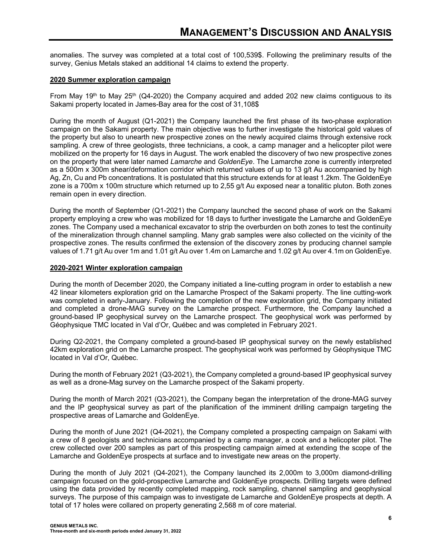anomalies. The survey was completed at a total cost of 100,539\$. Following the preliminary results of the survey, Genius Metals staked an additional 14 claims to extend the property.

#### **2020 Summer exploration campaign**

From May 19th to May 25th (Q4-2020) the Company acquired and added 202 new claims contiguous to its Sakami property located in James-Bay area for the cost of 31,108\$

During the month of August (Q1-2021) the Company launched the first phase of its two-phase exploration campaign on the Sakami property. The main objective was to further investigate the historical gold values of the property but also to unearth new prospective zones on the newly acquired claims through extensive rock sampling. A crew of three geologists, three technicians, a cook, a camp manager and a helicopter pilot were mobilized on the property for 16 days in August. The work enabled the discovery of two new prospective zones on the property that were later named *Lamarche* and *GoldenEye*. The Lamarche zone is currently interpreted as a 500m x 300m shear/deformation corridor which returned values of up to 13 g/t Au accompanied by high Ag, Zn, Cu and Pb concentrations. It is postulated that this structure extends for at least 1.2km. The GoldenEye zone is a 700m x 100m structure which returned up to 2,55 g/t Au exposed near a tonalitic pluton. Both zones remain open in every direction.

During the month of September (Q1-2021) the Company launched the second phase of work on the Sakami property employing a crew who was mobilized for 18 days to further investigate the Lamarche and GoldenEye zones. The Company used a mechanical excavator to strip the overburden on both zones to test the continuity of the mineralization through channel sampling. Many grab samples were also collected on the vicinity of the prospective zones. The results confirmed the extension of the discovery zones by producing channel sample values of 1.71 g/t Au over 1m and 1.01 g/t Au over 1.4m on Lamarche and 1.02 g/t Au over 4.1m on GoldenEye.

#### **2020-2021 Winter exploration campaign**

During the month of December 2020, the Company initiated a line-cutting program in order to establish a new 42 linear kilometers exploration grid on the Lamarche Prospect of the Sakami property. The line cutting-work was completed in early-January. Following the completion of the new exploration grid, the Company initiated and completed a drone-MAG survey on the Lamarche prospect. Furthermore, the Company launched a ground-based IP geophysical survey on the Lamarche prospect. The geophysical work was performed by Géophysique TMC located in Val d'Or, Québec and was completed in February 2021.

During Q2-2021, the Company completed a ground-based IP geophysical survey on the newly established 42km exploration grid on the Lamarche prospect. The geophysical work was performed by Géophysique TMC located in Val d'Or, Québec.

During the month of February 2021 (Q3-2021), the Company completed a ground-based IP geophysical survey as well as a drone-Mag survey on the Lamarche prospect of the Sakami property.

During the month of March 2021 (Q3-2021), the Company began the interpretation of the drone-MAG survey and the IP geophysical survey as part of the planification of the imminent drilling campaign targeting the prospective areas of Lamarche and GoldenEye.

During the month of June 2021 (Q4-2021), the Company completed a prospecting campaign on Sakami with a crew of 8 geologists and technicians accompanied by a camp manager, a cook and a helicopter pilot. The crew collected over 200 samples as part of this prospecting campaign aimed at extending the scope of the Lamarche and GoldenEye prospects at surface and to investigate new areas on the property.

During the month of July 2021 (Q4-2021), the Company launched its 2,000m to 3,000m diamond-drilling campaign focused on the gold-prospective Lamarche and GoldenEye prospects. Drilling targets were defined using the data provided by recently completed mapping, rock sampling, channel sampling and geophysical surveys. The purpose of this campaign was to investigate de Lamarche and GoldenEye prospects at depth. A total of 17 holes were collared on property generating 2,568 m of core material.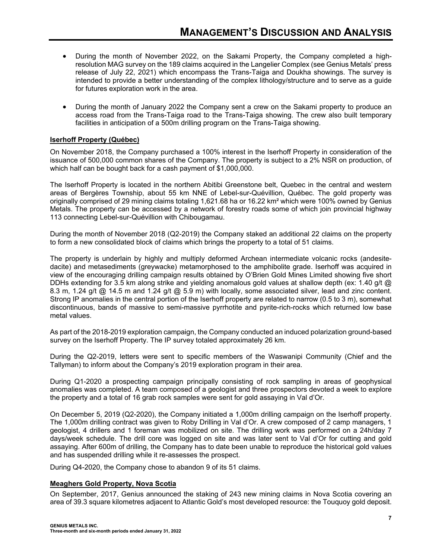- During the month of November 2022, on the Sakami Property, the Company completed a highresolution MAG survey on the 189 claims acquired in the Langelier Complex (see Genius Metals' press release of July 22, 2021) which encompass the Trans-Taiga and Doukha showings. The survey is intended to provide a better understanding of the complex lithology/structure and to serve as a guide for futures exploration work in the area.
- During the month of January 2022 the Company sent a crew on the Sakami property to produce an access road from the Trans-Taiga road to the Trans-Taiga showing. The crew also built temporary facilities in anticipation of a 500m drilling program on the Trans-Taiga showing.

# **Iserhoff Property (Québec)**

On November 2018, the Company purchased a 100% interest in the Iserhoff Property in consideration of the issuance of 500,000 common shares of the Company. The property is subject to a 2% NSR on production, of which half can be bought back for a cash payment of \$1,000,000.

The Iserhoff Property is located in the northern Abitibi Greenstone belt, Quebec in the central and western areas of Bergères Township, about 55 km NNE of Lebel-sur-Quévillion, Québec. The gold property was originally comprised of 29 mining claims totaling 1,621.68 ha or 16.22 km² which were 100% owned by Genius Metals. The property can be accessed by a network of forestry roads some of which join provincial highway 113 connecting Lebel-sur-Quévillion with Chibougamau.

During the month of November 2018 (Q2-2019) the Company staked an additional 22 claims on the property to form a new consolidated block of claims which brings the property to a total of 51 claims.

The property is underlain by highly and multiply deformed Archean intermediate volcanic rocks (andesitedacite) and metasediments (greywacke) metamorphosed to the amphibolite grade. Iserhoff was acquired in view of the encouraging drilling campaign results obtained by O'Brien Gold Mines Limited showing five short DDHs extending for 3.5 km along strike and yielding anomalous gold values at shallow depth (ex: 1.40 g/t @ 8.3 m, 1.24 g/t @ 14.5 m and 1.24 g/t @ 5.9 m) with locally, some associated silver, lead and zinc content. Strong IP anomalies in the central portion of the Iserhoff property are related to narrow (0.5 to 3 m), somewhat discontinuous, bands of massive to semi-massive pyrrhotite and pyrite-rich-rocks which returned low base metal values.

As part of the 2018-2019 exploration campaign, the Company conducted an induced polarization ground-based survey on the Iserhoff Property. The IP survey totaled approximately 26 km.

During the Q2-2019, letters were sent to specific members of the Waswanipi Community (Chief and the Tallyman) to inform about the Company's 2019 exploration program in their area.

During Q1-2020 a prospecting campaign principally consisting of rock sampling in areas of geophysical anomalies was completed. A team composed of a geologist and three prospectors devoted a week to explore the property and a total of 16 grab rock samples were sent for gold assaying in Val d'Or.

On December 5, 2019 (Q2-2020), the Company initiated a 1,000m drilling campaign on the Iserhoff property. The 1,000m drilling contract was given to Roby Drilling in Val d'Or. A crew composed of 2 camp managers, 1 geologist, 4 drillers and 1 foreman was mobilized on site. The drilling work was performed on a 24h/day 7 days/week schedule. The drill core was logged on site and was later sent to Val d'Or for cutting and gold assaying. After 600m of drilling, the Company has to date been unable to reproduce the historical gold values and has suspended drilling while it re-assesses the prospect.

During Q4-2020, the Company chose to abandon 9 of its 51 claims.

#### **Meaghers Gold Property, Nova Scotia**

On September, 2017, Genius announced the staking of 243 new mining claims in Nova Scotia covering an area of 39.3 square kilometres adjacent to Atlantic Gold's most developed resource: the Touquoy gold deposit.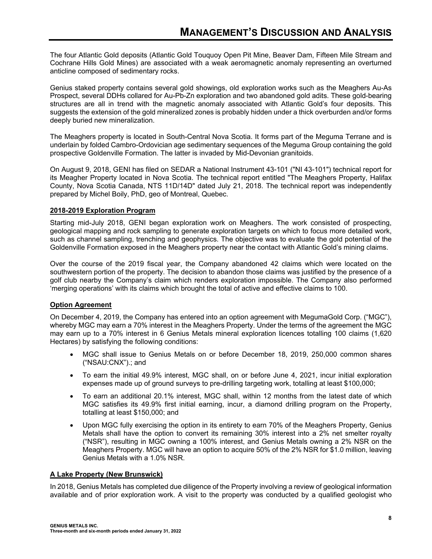The four Atlantic Gold deposits (Atlantic Gold Touquoy Open Pit Mine, Beaver Dam, Fifteen Mile Stream and Cochrane Hills Gold Mines) are associated with a weak aeromagnetic anomaly representing an overturned anticline composed of sedimentary rocks.

Genius staked property contains several gold showings, old exploration works such as the Meaghers Au-As Prospect, several DDHs collared for Au-Pb-Zn exploration and two abandoned gold adits. These gold-bearing structures are all in trend with the magnetic anomaly associated with Atlantic Gold's four deposits. This suggests the extension of the gold mineralized zones is probably hidden under a thick overburden and/or forms deeply buried new mineralization.

The Meaghers property is located in South-Central Nova Scotia. It forms part of the Meguma Terrane and is underlain by folded Cambro-Ordovician age sedimentary sequences of the Meguma Group containing the gold prospective Goldenville Formation. The latter is invaded by Mid-Devonian granitoids.

On August 9, 2018, GENI has filed on SEDAR a National Instrument 43-101 ("NI 43-101") technical report for its Meagher Property located in Nova Scotia. The technical report entitled "The Meaghers Property, Halifax County, Nova Scotia Canada, NTS 11D/14D" dated July 21, 2018. The technical report was independently prepared by Michel Boily, PhD, geo of Montreal, Quebec.

# **2018-2019 Exploration Program**

Starting mid-July 2018, GENI began exploration work on Meaghers. The work consisted of prospecting, geological mapping and rock sampling to generate exploration targets on which to focus more detailed work, such as channel sampling, trenching and geophysics. The objective was to evaluate the gold potential of the Goldenville Formation exposed in the Meaghers property near the contact with Atlantic Gold's mining claims.

Over the course of the 2019 fiscal year, the Company abandoned 42 claims which were located on the southwestern portion of the property. The decision to abandon those claims was justified by the presence of a golf club nearby the Company's claim which renders exploration impossible. The Company also performed 'merging operations' with its claims which brought the total of active and effective claims to 100.

# **Option Agreement**

On December 4, 2019, the Company has entered into an option agreement with MegumaGold Corp. ("MGC"), whereby MGC may earn a 70% interest in the Meaghers Property. Under the terms of the agreement the MGC may earn up to a 70% interest in 6 Genius Metals mineral exploration licences totalling 100 claims (1,620 Hectares) by satisfying the following conditions:

- MGC shall issue to Genius Metals on or before December 18, 2019, 250,000 common shares ("NSAU:CNX").; and
- To earn the initial 49.9% interest, MGC shall, on or before June 4, 2021, incur initial exploration expenses made up of ground surveys to pre-drilling targeting work, totalling at least \$100,000;
- To earn an additional 20.1% interest, MGC shall, within 12 months from the latest date of which MGC satisfies its 49.9% first initial earning, incur, a diamond drilling program on the Property, totalling at least \$150,000; and
- Upon MGC fully exercising the option in its entirety to earn 70% of the Meaghers Property, Genius Metals shall have the option to convert its remaining 30% interest into a 2% net smelter royalty ("NSR"), resulting in MGC owning a 100% interest, and Genius Metals owning a 2% NSR on the Meaghers Property. MGC will have an option to acquire 50% of the 2% NSR for \$1.0 million, leaving Genius Metals with a 1.0% NSR.

#### **A Lake Property (New Brunswick)**

In 2018, Genius Metals has completed due diligence of the Property involving a review of geological information available and of prior exploration work. A visit to the property was conducted by a qualified geologist who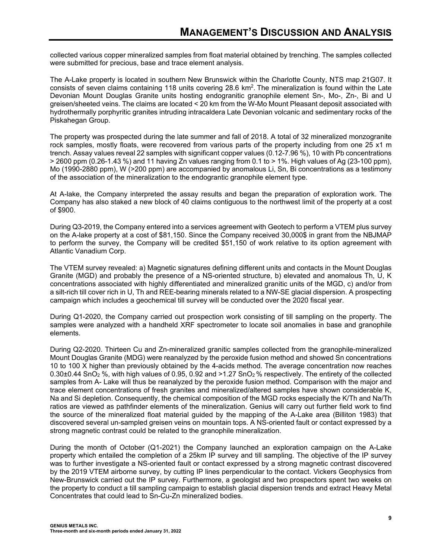collected various copper mineralized samples from float material obtained by trenching. The samples collected were submitted for precious, base and trace element analysis.

The A-Lake property is located in southern New Brunswick within the Charlotte County, NTS map 21G07. It consists of seven claims containing 118 units covering 28.6 km2. The mineralization is found within the Late Devonian Mount Douglas Granite units hosting endogranitic granophile element Sn-, Mo-, Zn-, Bi and U greisen/sheeted veins. The claims are located < 20 km from the W-Mo Mount Pleasant deposit associated with hydrothermally porphyritic granites intruding intracaldera Late Devonian volcanic and sedimentary rocks of the Piskahegan Group.

The property was prospected during the late summer and fall of 2018. A total of 32 mineralized monzogranite rock samples, mostly floats, were recovered from various parts of the property including from one 25 x1 m trench. Assay values reveal 22 samples with significant copper values (0.12-7.96 %), 10 with Pb concentrations  $>$  2600 ppm (0.26-1.43 %) and 11 having Zn values ranging from 0.1 to  $>$  1%. High values of Ag (23-100 ppm), Mo (1990-2880 ppm), W (>200 ppm) are accompanied by anomalous Li, Sn, Bi concentrations as a testimony of the association of the mineralization to the endograntic granophile element type.

At A-lake, the Company interpreted the assay results and began the preparation of exploration work. The Company has also staked a new block of 40 claims contiguous to the northwest limit of the property at a cost of \$900.

During Q3-2019, the Company entered into a services agreement with Geotech to perform a VTEM plus survey on the A-lake property at a cost of \$81,150. Since the Company received 30,000\$ in grant from the NBJMAP to perform the survey, the Company will be credited \$51,150 of work relative to its option agreement with Atlantic Vanadium Corp.

The VTEM survey revealed: a) Magnetic signatures defining different units and contacts in the Mount Douglas Granite (MGD) and probably the presence of a NS-oriented structure, b) elevated and anomalous Th, U, K concentrations associated with highly differentiated and mineralized granitic units of the MGD, c) and/or from a silt-rich till cover rich in U, Th and REE-bearing minerals related to a NW-SE glacial dispersion. A prospecting campaign which includes a geochemical till survey will be conducted over the 2020 fiscal year.

During Q1-2020, the Company carried out prospection work consisting of till sampling on the property. The samples were analyzed with a handheld XRF spectrometer to locate soil anomalies in base and granophile elements.

During Q2-2020. Thirteen Cu and Zn-mineralized granitic samples collected from the granophile-mineralized Mount Douglas Granite (MDG) were reanalyzed by the peroxide fusion method and showed Sn concentrations 10 to 100 X higher than previously obtained by the 4-acids method. The average concentration now reaches  $0.30\pm0.44$  SnO<sub>2</sub> %, with high values of 0.95, 0.92 and >1.27 SnO<sub>2</sub> % respectively. The entirety of the collected samples from A- Lake will thus be reanalyzed by the peroxide fusion method. Comparison with the major and trace element concentrations of fresh granites and mineralized/altered samples have shown considerable K, Na and Si depletion. Consequently, the chemical composition of the MGD rocks especially the K/Th and Na/Th ratios are viewed as pathfinder elements of the mineralization. Genius will carry out further field work to find the source of the mineralized float material guided by the mapping of the A-Lake area (Billiton 1983) that discovered several un-sampled greisen veins on mountain tops. A NS-oriented fault or contact expressed by a strong magnetic contrast could be related to the granophile mineralization.

During the month of October (Q1-2021) the Company launched an exploration campaign on the A-Lake property which entailed the completion of a 25km IP survey and till sampling. The objective of the IP survey was to further investigate a NS-oriented fault or contact expressed by a strong magnetic contrast discovered by the 2019 VTEM airborne survey, by cutting IP lines perpendicular to the contact. Vickers Geophysics from New-Brunswick carried out the IP survey. Furthermore, a geologist and two prospectors spent two weeks on the property to conduct a till sampling campaign to establish glacial dispersion trends and extract Heavy Metal Concentrates that could lead to Sn-Cu-Zn mineralized bodies.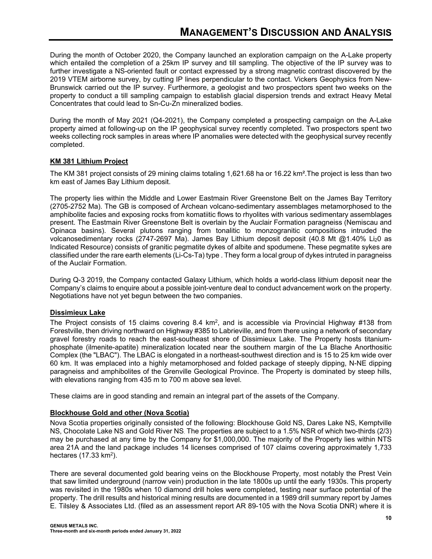During the month of October 2020, the Company launched an exploration campaign on the A-Lake property which entailed the completion of a 25km IP survey and till sampling. The objective of the IP survey was to further investigate a NS-oriented fault or contact expressed by a strong magnetic contrast discovered by the 2019 VTEM airborne survey, by cutting IP lines perpendicular to the contact. Vickers Geophysics from New-Brunswick carried out the IP survey. Furthermore, a geologist and two prospectors spent two weeks on the property to conduct a till sampling campaign to establish glacial dispersion trends and extract Heavy Metal Concentrates that could lead to Sn-Cu-Zn mineralized bodies.

During the month of May 2021 (Q4-2021), the Company completed a prospecting campaign on the A-Lake property aimed at following-up on the IP geophysical survey recently completed. Two prospectors spent two weeks collecting rock samples in areas where IP anomalies were detected with the geophysical survey recently completed.

# **KM 381 Lithium Project**

The KM 381 project consists of 29 mining claims totaling 1,621.68 ha or 16.22 km².The project is less than two km east of James Bay Lithium deposit.

The property lies within the Middle and Lower Eastmain River Greenstone Belt on the James Bay Territory (2705-2752 Ma). The GB is composed of Archean volcano-sedimentary assemblages metamorphosed to the amphibolite facies and exposing rocks from komatiitic flows to rhyolites with various sedimentary assemblages present. The Eastmain River Greenstone Belt is overlain by the Auclair Formation paragneiss (Nemiscau and Opinaca basins). Several plutons ranging from tonalitic to monzogranitic compositions intruded the volcanosedimentary rocks (2747-2697 Ma). James Bay Lithium deposit deposit (40.8 Mt @1.40% Li20 as Indicated Resource) consists of granitic pegmatite dykes of albite and spodumene. These pegmatite sykes are classified under the rare earth elements (Li-Cs-Ta) type . They form a local group of dykes intruted in paragneiss of the Auclair Formation.

During Q-3 2019, the Company contacted Galaxy Lithium, which holds a world-class lithium deposit near the Company's claims to enquire about a possible joint-venture deal to conduct advancement work on the property. Negotiations have not yet begun between the two companies.

# **Dissimieux Lake**

The Project consists of 15 claims covering 8.4  $km^2$ , and is accessible via Provincial Highway #138 from Forestville, then driving northward on Highway #385 to Labrieville, and from there using a network of secondary gravel forestry roads to reach the east-southeast shore of Dissimieux Lake. The Property hosts titaniumphosphate (ilmenite-apatite) mineralization located near the southern margin of the La Blache Anorthositic Complex (the "LBAC"). The LBAC is elongated in a northeast-southwest direction and is 15 to 25 km wide over 60 km. It was emplaced into a highly metamorphosed and folded package of steeply dipping, N-NE dipping paragneiss and amphibolites of the Grenville Geological Province. The Property is dominated by steep hills, with elevations ranging from 435 m to 700 m above sea level.

These claims are in good standing and remain an integral part of the assets of the Company.

# **Blockhouse Gold and other (Nova Scotia)**

Nova Scotia properties originally consisted of the following: Blockhouse Gold NS, Dares Lake NS, Kemptville NS, Chocolate Lake NS and Gold River NS. The properties are subject to a 1.5% NSR of which two-thirds (2/3) may be purchased at any time by the Company for \$1,000,000. The majority of the Property lies within NTS area 21A and the land package includes 14 licenses comprised of 107 claims covering approximately 1,733 hectares  $(17.33 \text{ km}^2)$ .

There are several documented gold bearing veins on the Blockhouse Property, most notably the Prest Vein that saw limited underground (narrow vein) production in the late 1800s up until the early 1930s. This property was revisited in the 1980s when 10 diamond drill holes were completed, testing near surface potential of the property. The drill results and historical mining results are documented in a 1989 drill summary report by James E. Tilsley & Associates Ltd. (filed as an assessment report AR 89-105 with the Nova Scotia DNR) where it is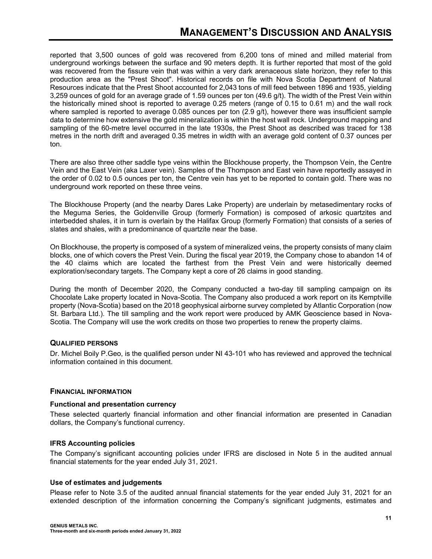reported that 3,500 ounces of gold was recovered from 6,200 tons of mined and milled material from underground workings between the surface and 90 meters depth. It is further reported that most of the gold was recovered from the fissure vein that was within a very dark arenaceous slate horizon, they refer to this production area as the "Prest Shoot". Historical records on file with Nova Scotia Department of Natural Resources indicate that the Prest Shoot accounted for 2,043 tons of mill feed between 1896 and 1935, yielding 3,259 ounces of gold for an average grade of 1.59 ounces per ton (49.6 g/t). The width of the Prest Vein within the historically mined shoot is reported to average 0.25 meters (range of 0.15 to 0.61 m) and the wall rock where sampled is reported to average 0.085 ounces per ton (2.9 g/t), however there was insufficient sample data to determine how extensive the gold mineralization is within the host wall rock. Underground mapping and sampling of the 60-metre level occurred in the late 1930s, the Prest Shoot as described was traced for 138 metres in the north drift and averaged 0.35 metres in width with an average gold content of 0.37 ounces per ton.

There are also three other saddle type veins within the Blockhouse property, the Thompson Vein, the Centre Vein and the East Vein (aka Laxer vein). Samples of the Thompson and East vein have reportedly assayed in the order of 0.02 to 0.5 ounces per ton, the Centre vein has yet to be reported to contain gold. There was no underground work reported on these three veins.

The Blockhouse Property (and the nearby Dares Lake Property) are underlain by metasedimentary rocks of the Meguma Series, the Goldenville Group (formerly Formation) is composed of arkosic quartzites and interbedded shales, it in turn is overlain by the Halifax Group (formerly Formation) that consists of a series of slates and shales, with a predominance of quartzite near the base.

On Blockhouse, the property is composed of a system of mineralized veins, the property consists of many claim blocks, one of which covers the Prest Vein. During the fiscal year 2019, the Company chose to abandon 14 of the 40 claims which are located the farthest from the Prest Vein and were historically deemed exploration/secondary targets. The Company kept a core of 26 claims in good standing.

During the month of December 2020, the Company conducted a two-day till sampling campaign on its Chocolate Lake property located in Nova-Scotia. The Company also produced a work report on its Kemptville property (Nova-Scotia) based on the 2018 geophysical airborne survey completed by Atlantic Corporation (now St. Barbara Ltd.). The till sampling and the work report were produced by AMK Geoscience based in Nova-Scotia. The Company will use the work credits on those two properties to renew the property claims.

# **QUALIFIED PERSONS**

Dr. Michel Boily P.Geo, is the qualified person under NI 43-101 who has reviewed and approved the technical information contained in this document.

# **FINANCIAL INFORMATION**

# **Functional and presentation currency**

These selected quarterly financial information and other financial information are presented in Canadian dollars, the Company's functional currency.

# **IFRS Accounting policies**

The Company's significant accounting policies under IFRS are disclosed in Note 5 in the audited annual financial statements for the year ended July 31, 2021.

# **Use of estimates and judgements**

Please refer to Note 3.5 of the audited annual financial statements for the year ended July 31, 2021 for an extended description of the information concerning the Company's significant judgments, estimates and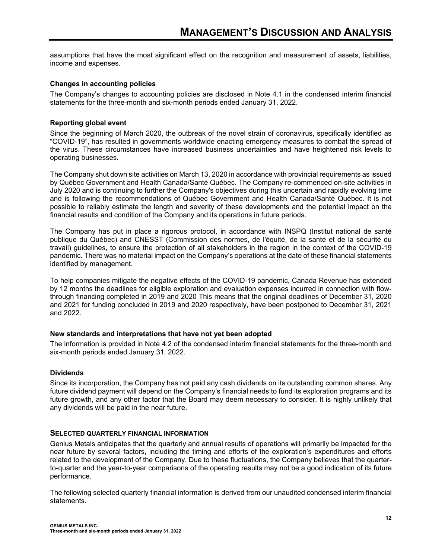assumptions that have the most significant effect on the recognition and measurement of assets, liabilities, income and expenses.

#### **Changes in accounting policies**

The Company's changes to accounting policies are disclosed in Note 4.1 in the condensed interim financial statements for the three-month and six-month periods ended January 31, 2022.

#### **Reporting global event**

Since the beginning of March 2020, the outbreak of the novel strain of coronavirus, specifically identified as "COVID-19", has resulted in governments worldwide enacting emergency measures to combat the spread of the virus. These circumstances have increased business uncertainties and have heightened risk levels to operating businesses.

The Company shut down site activities on March 13, 2020 in accordance with provincial requirements as issued by Québec Government and Health Canada/Santé Québec. The Company re-commenced on-site activities in July 2020 and is continuing to further the Company's objectives during this uncertain and rapidly evolving time and is following the recommendations of Québec Government and Health Canada/Santé Québec. It is not possible to reliably estimate the length and severity of these developments and the potential impact on the financial results and condition of the Company and its operations in future periods.

The Company has put in place a rigorous protocol, in accordance with INSPQ (Institut national de santé publique du Québec) and CNESST (Commission des normes, de l'équité, de la santé et de la sécurité du travail) guidelines, to ensure the protection of all stakeholders in the region in the context of the COVID-19 pandemic. There was no material impact on the Company's operations at the date of these financial statements identified by management.

To help companies mitigate the negative effects of the COVID-19 pandemic, Canada Revenue has extended by 12 months the deadlines for eligible exploration and evaluation expenses incurred in connection with flowthrough financing completed in 2019 and 2020 This means that the original deadlines of December 31, 2020 and 2021 for funding concluded in 2019 and 2020 respectively, have been postponed to December 31, 2021 and 2022.

#### **New standards and interpretations that have not yet been adopted**

The information is provided in Note 4.2 of the condensed interim financial statements for the three-month and six-month periods ended January 31, 2022.

# **Dividends**

Since its incorporation, the Company has not paid any cash dividends on its outstanding common shares. Any future dividend payment will depend on the Company's financial needs to fund its exploration programs and its future growth, and any other factor that the Board may deem necessary to consider. It is highly unlikely that any dividends will be paid in the near future.

#### **SELECTED QUARTERLY FINANCIAL INFORMATION**

Genius Metals anticipates that the quarterly and annual results of operations will primarily be impacted for the near future by several factors, including the timing and efforts of the exploration's expenditures and efforts related to the development of the Company. Due to these fluctuations, the Company believes that the quarterto-quarter and the year-to-year comparisons of the operating results may not be a good indication of its future performance.

The following selected quarterly financial information is derived from our unaudited condensed interim financial statements.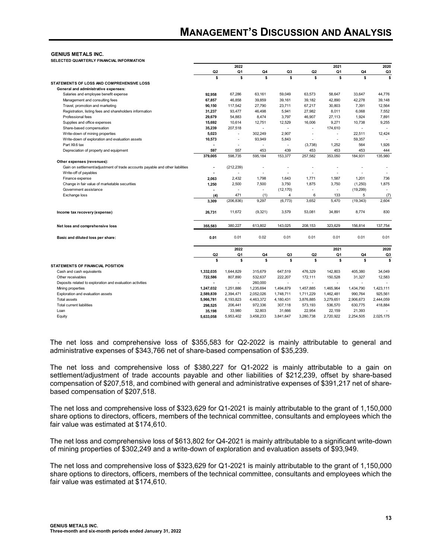#### **GENIUS METALS INC.**

**SELECTED QUARTERLY FINANCIAL INFORMATION**

|                                                                               |                | 2022           |           |                |                | 2021                     |                | 2020      |
|-------------------------------------------------------------------------------|----------------|----------------|-----------|----------------|----------------|--------------------------|----------------|-----------|
|                                                                               | Q <sub>2</sub> | Q <sub>1</sub> | Q4        | Q3             | Q <sub>2</sub> | Q1                       | Q4             | Q3        |
| STATEMENTS OF LOSS AND COMPREHENSIVE LOSS                                     | \$             | \$             | \$        | s              | \$             | s                        | \$             | \$        |
| General and administrative expenses:                                          |                |                |           |                |                |                          |                |           |
| Salaries and employee benefit expense                                         | 92,958         | 67,286         | 63.161    | 59,049         | 63,573         | 58,647                   | 33,647         | 44.776    |
| Management and consulting fees                                                | 67,857         | 46,858         | 39,859    | 39,161         | 39,182         | 42,890                   | 42,278         | 39,148    |
| Travel, promotion and marketing                                               | 90,150         | 117,542        | 27,790    | 23,711         | 67,217         | 30,803                   | 7,391          | 12,564    |
| Registration, listing fees and shareholders information                       | 31,237         | 93,477         | 46,498    | 5,941          | 27,982         | 8,011                    | 6,068          | 7,552     |
| Professional fees                                                             | 29,679         | 54,883         | 8,474     | 3,797          |                |                          |                | 7,891     |
|                                                                               |                |                |           |                | 46,907         | 27,113                   | 1,924          |           |
| Supplies and office expenses                                                  | 15,692         | 10,614         | 12,751    | 12,529         | 16,006         | 9,271                    | 10,738         | 9,255     |
| Share-based compensation                                                      | 35,239         | 207,518        |           |                | $\overline{a}$ | 174,610                  |                |           |
| Write-down of mining properties                                               | 5,023          | L,             | 302,249   | 2,907          | ÷              | $\overline{\phantom{a}}$ | 22,511         | 12,424    |
| Write-down of exploration and evaluation assets                               | 10,573         | $\overline{a}$ | 93,949    | 5,843          | ÷              | $\overline{\phantom{a}}$ | 59,357         |           |
| Part XII.6 tax                                                                |                | $\overline{a}$ |           | $\overline{a}$ | (3,738)        | 1,252                    | 564            | 1,926     |
| Depreciation of property and equipment                                        | 597            | 557            | 453       | 439            | 453            | 453                      | 453            | 444       |
|                                                                               | 379,005        | 598.735        | 595.184   | 153,377        | 257.582        | 353,050                  | 184,931        | 135.980   |
| Other expenses (revenues):                                                    |                |                |           |                |                |                          |                |           |
| Gain on settlement/adjustment of trade accounts payable and other liabilities |                | (212, 239)     |           |                |                |                          |                |           |
| Write-off of payables                                                         |                | $\blacksquare$ |           | $\overline{a}$ |                |                          |                |           |
| Finance expense                                                               | 2,063          | 2,432          | 1,798     | 1,643          | 1,771          | 1,587                    | 1,201          | 736       |
| Change in fair value of marketable securities                                 | 1,250          | 2,500          | 7,500     | 3,750          | 1.875          | 3,750                    | (1,250)        | 1,875     |
| Government assistance                                                         |                | $\overline{a}$ |           | (12, 170)      | ÷              |                          | (19, 299)      |           |
| Exchange loss                                                                 | (4)            | 471            | (1)       | 4              | 6              | 133                      | 5              | (7)       |
|                                                                               | 3,309          | (206, 836)     | 9,297     | (6, 773)       | 3,652          | 5,470                    | (19, 343)      | 2.604     |
| Income tax recovery (expense)                                                 | 26,731         | 11,672         | (9, 321)  | 3,579          | 53,081         | 34,891                   | 8,774          | 830       |
| Net loss and comprehensive loss                                               | 355,583        | 380,227        | 613,802   | 143,025        | 208,153        | 323,629                  | 156,814        | 137,754   |
| Basic and diluted loss per share:                                             | 0.01           | 0.01           | 0.02      | 0.01           | 0.01           | 0.01                     | 0.01           | 0.01      |
|                                                                               |                | 2022           |           |                |                | 2021                     |                | 2020      |
|                                                                               | Q <sub>2</sub> | Q1             | Q4        | Q3             | Q <sub>2</sub> | Q1                       | Q4             | Q3        |
|                                                                               | \$             | \$             | \$        | s              | \$             | \$                       | \$             | s         |
| <b>STATEMENTS OF FINANCIAL POSITION</b>                                       |                |                |           |                |                |                          |                |           |
| Cash and cash equivalents                                                     | 1,332,035      | 1,644,829      | 315,679   | 647,519        | 476,329        | 142,803                  | 405,380        | 34,049    |
| Other receivables                                                             | 722,586        | 807.890        | 532,637   | 222.207        | 172,111        | 150,528                  | 31.327         | 12,583    |
| Deposits related to exploration and evaluation activities                     |                | $\blacksquare$ | 260,000   | $\overline{a}$ | $\overline{a}$ | $\overline{a}$           | $\overline{a}$ |           |
| Mining properties                                                             | 1,247,032      | 1.251.886      | 1,235,694 | 1,494,879      | 1.457.885      | 1,465,964                | 1,434,790      | 1.423.111 |
| Exploration and evaluation assets                                             | 2,589,839      | 2,394,471      | 2,052,026 | 1,748,711      | 1,711,229      | 1,462,481                | 990,764        | 925,561   |
| <b>Total assets</b>                                                           | 5,966,781      | 6,193,823      | 4,463,372 | 4,180,431      | 3,876,885      | 3,279,651                | 2,906,673      | 2,444,059 |
| <b>Total current liabilities</b>                                              | 298,525        | 206,441        | 972,336   | 307,118        | 573,193        | 536,570                  | 630,775        | 418,884   |
| Loan                                                                          | 35,198         | 33,980         | 32,803    | 31,666         | 22,954         | 22,159                   | 21,393         |           |
| Equity                                                                        | 5,633,058      | 5,953,402      | 3,458,233 | 3,841,647      | 3,280,738      | 2,720,922                | 2,254,505      | 2.025.175 |
|                                                                               |                |                |           |                |                |                          |                |           |

The net loss and comprehensive loss of \$355,583 for Q2-2022 is mainly attributable to general and administrative expenses of \$343,766 net of share-based compensation of \$35,239.

The net loss and comprehensive loss of \$380,227 for Q1-2022 is mainly attributable to a gain on settlement/adjustment of trade accounts payable and other liabilities of \$212,239, offset by share-based compensation of \$207,518, and combined with general and administrative expenses of \$391,217 net of sharebased compensation of \$207,518.

The net loss and comprehensive loss of \$323,629 for Q1-2021 is mainly attributable to the grant of 1,150,000 share options to directors, officers, members of the technical committee, consultants and employees which the fair value was estimated at \$174,610.

The net loss and comprehensive loss of \$613,802 for Q4-2021 is mainly attributable to a significant write-down of mining properties of \$302,249 and a write-down of exploration and evaluation assets of \$93,949.

The net loss and comprehensive loss of \$323,629 for Q1-2021 is mainly attributable to the grant of 1,150,000 share options to directors, officers, members of the technical committee, consultants and employees which the fair value was estimated at \$174,610.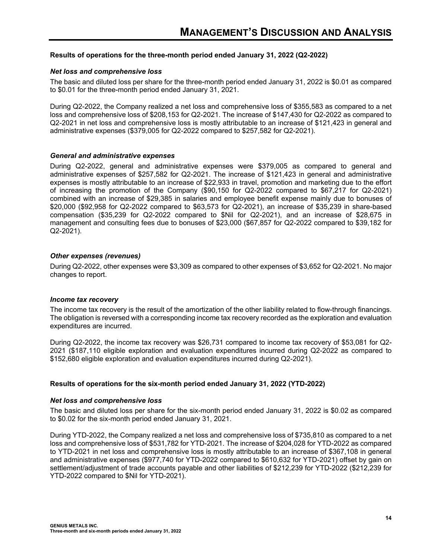#### **Results of operations for the three-month period ended January 31, 2022 (Q2-2022)**

#### *Net loss and comprehensive loss*

The basic and diluted loss per share for the three-month period ended January 31, 2022 is \$0.01 as compared to \$0.01 for the three-month period ended January 31, 2021.

During Q2-2022, the Company realized a net loss and comprehensive loss of \$355,583 as compared to a net loss and comprehensive loss of \$208,153 for Q2-2021. The increase of \$147,430 for Q2-2022 as compared to Q2-2021 in net loss and comprehensive loss is mostly attributable to an increase of \$121,423 in general and administrative expenses (\$379,005 for Q2-2022 compared to \$257,582 for Q2-2021).

#### *General and administrative expenses*

During Q2-2022, general and administrative expenses were \$379,005 as compared to general and administrative expenses of \$257,582 for Q2-2021. The increase of \$121,423 in general and administrative expenses is mostly attributable to an increase of \$22,933 in travel, promotion and marketing due to the effort of increasing the promotion of the Company (\$90,150 for Q2-2022 compared to \$67,217 for Q2-2021) combined with an increase of \$29,385 in salaries and employee benefit expense mainly due to bonuses of \$20,000 (\$92,958 for Q2-2022 compared to \$63,573 for Q2-2021), an increase of \$35,239 in share-based compensation (\$35,239 for Q2-2022 compared to \$Nil for Q2-2021), and an increase of \$28,675 in management and consulting fees due to bonuses of \$23,000 (\$67,857 for Q2-2022 compared to \$39,182 for Q2-2021).

#### *Other expenses (revenues)*

During Q2-2022, other expenses were \$3,309 as compared to other expenses of \$3,652 for Q2-2021. No major changes to report.

#### *Income tax recovery*

The income tax recovery is the result of the amortization of the other liability related to flow-through financings. The obligation is reversed with a corresponding income tax recovery recorded as the exploration and evaluation expenditures are incurred.

During Q2-2022, the income tax recovery was \$26,731 compared to income tax recovery of \$53,081 for Q2- 2021 (\$187,110 eligible exploration and evaluation expenditures incurred during Q2-2022 as compared to \$152,680 eligible exploration and evaluation expenditures incurred during Q2-2021).

# **Results of operations for the six-month period ended January 31, 2022 (YTD-2022)**

#### *Net loss and comprehensive loss*

The basic and diluted loss per share for the six-month period ended January 31, 2022 is \$0.02 as compared to \$0.02 for the six-month period ended January 31, 2021.

During YTD-2022, the Company realized a net loss and comprehensive loss of \$735,810 as compared to a net loss and comprehensive loss of \$531,782 for YTD-2021. The increase of \$204,028 for YTD-2022 as compared to YTD-2021 in net loss and comprehensive loss is mostly attributable to an increase of \$367,108 in general and administrative expenses (\$977,740 for YTD-2022 compared to \$610,632 for YTD-2021) offset by gain on settlement/adjustment of trade accounts payable and other liabilities of \$212,239 for YTD-2022 (\$212,239 for YTD-2022 compared to \$Nil for YTD-2021).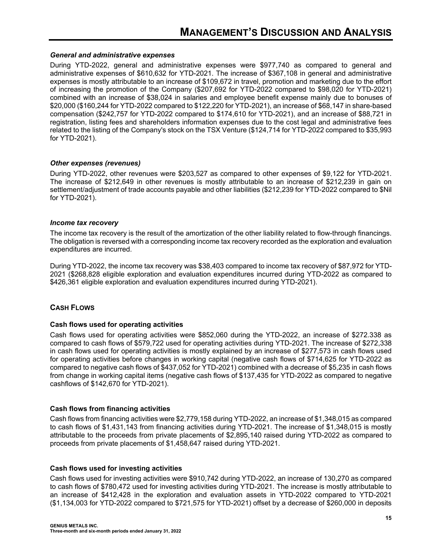#### *General and administrative expenses*

During YTD-2022, general and administrative expenses were \$977,740 as compared to general and administrative expenses of \$610,632 for YTD-2021. The increase of \$367,108 in general and administrative expenses is mostly attributable to an increase of \$109,672 in travel, promotion and marketing due to the effort of increasing the promotion of the Company (\$207,692 for YTD-2022 compared to \$98,020 for YTD-2021) combined with an increase of \$38,024 in salaries and employee benefit expense mainly due to bonuses of \$20,000 (\$160,244 for YTD-2022 compared to \$122,220 for YTD-2021), an increase of \$68,147 in share-based compensation (\$242,757 for YTD-2022 compared to \$174,610 for YTD-2021), and an increase of \$88,721 in registration, listing fees and shareholders information expenses due to the cost legal and administrative fees related to the listing of the Company's stock on the TSX Venture (\$124,714 for YTD-2022 compared to \$35,993 for YTD-2021).

#### *Other expenses (revenues)*

During YTD-2022, other revenues were \$203,527 as compared to other expenses of \$9,122 for YTD-2021. The increase of \$212,649 in other revenues is mostly attributable to an increase of \$212,239 in gain on settlement/adjustment of trade accounts payable and other liabilities (\$212,239 for YTD-2022 compared to \$Nil for YTD-2021).

#### *Income tax recovery*

The income tax recovery is the result of the amortization of the other liability related to flow-through financings. The obligation is reversed with a corresponding income tax recovery recorded as the exploration and evaluation expenditures are incurred.

During YTD-2022, the income tax recovery was \$38,403 compared to income tax recovery of \$87,972 for YTD-2021 (\$268,828 eligible exploration and evaluation expenditures incurred during YTD-2022 as compared to \$426,361 eligible exploration and evaluation expenditures incurred during YTD-2021).

# **CASH FLOWS**

#### **Cash flows used for operating activities**

Cash flows used for operating activities were \$852,060 during the YTD-2022, an increase of \$272.338 as compared to cash flows of \$579,722 used for operating activities during YTD-2021. The increase of \$272,338 in cash flows used for operating activities is mostly explained by an increase of \$277,573 in cash flows used for operating activities before changes in working capital (negative cash flows of \$714,625 for YTD-2022 as compared to negative cash flows of \$437,052 for YTD-2021) combined with a decrease of \$5,235 in cash flows from change in working capital items (negative cash flows of \$137,435 for YTD-2022 as compared to negative cashflows of \$142,670 for YTD-2021).

# **Cash flows from financing activities**

Cash flows from financing activities were \$2,779,158 during YTD-2022, an increase of \$1,348,015 as compared to cash flows of \$1,431,143 from financing activities during YTD-2021. The increase of \$1,348,015 is mostly attributable to the proceeds from private placements of \$2,895,140 raised during YTD-2022 as compared to proceeds from private placements of \$1,458,647 raised during YTD-2021.

#### **Cash flows used for investing activities**

Cash flows used for investing activities were \$910,742 during YTD-2022, an increase of 130,270 as compared to cash flows of \$780,472 used for investing activities during YTD-2021. The increase is mostly attributable to an increase of \$412,428 in the exploration and evaluation assets in YTD-2022 compared to YTD-2021 (\$1,134,003 for YTD-2022 compared to \$721,575 for YTD-2021) offset by a decrease of \$260,000 in deposits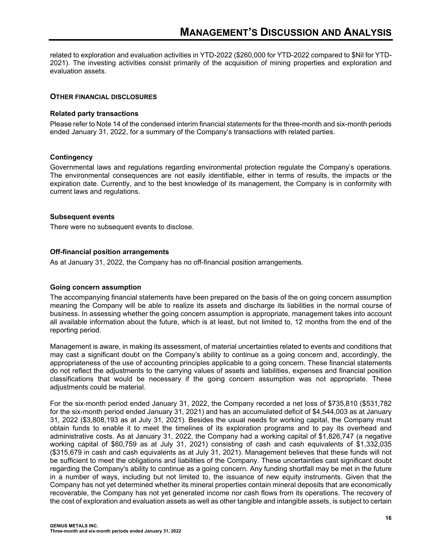related to exploration and evaluation activities in YTD-2022 (\$260,000 for YTD-2022 compared to \$Nil for YTD-2021). The investing activities consist primarily of the acquisition of mining properties and exploration and evaluation assets.

#### **OTHER FINANCIAL DISCLOSURES**

#### **Related party transactions**

Please refer to Note 14 of the condensed interim financial statements for the three-month and six-month periods ended January 31, 2022, for a summary of the Company's transactions with related parties.

#### **Contingency**

Governmental laws and regulations regarding environmental protection regulate the Company's operations. The environmental consequences are not easily identifiable, either in terms of results, the impacts or the expiration date. Currently, and to the best knowledge of its management, the Company is in conformity with current laws and regulations.

#### **Subsequent events**

There were no subsequent events to disclose.

#### **Off-financial position arrangements**

As at January 31, 2022, the Company has no off-financial position arrangements.

#### **Going concern assumption**

The accompanying financial statements have been prepared on the basis of the on going concern assumption meaning the Company will be able to realize its assets and discharge its liabilities in the normal course of business. In assessing whether the going concern assumption is appropriate, management takes into account all available information about the future, which is at least, but not limited to, 12 months from the end of the reporting period.

Management is aware, in making its assessment, of material uncertainties related to events and conditions that may cast a significant doubt on the Company's ability to continue as a going concern and, accordingly, the appropriateness of the use of accounting principles applicable to a going concern. These financial statements do not reflect the adjustments to the carrying values of assets and liabilities, expenses and financial position classifications that would be necessary if the going concern assumption was not appropriate. These adjustments could be material.

For the six-month period ended January 31, 2022, the Company recorded a net loss of \$735,810 (\$531,782 for the six-month period ended January 31, 2021) and has an accumulated deficit of \$4,544,003 as at January 31, 2022 (\$3,808,193 as at July 31, 2021). Besides the usual needs for working capital, the Company must obtain funds to enable it to meet the timelines of its exploration programs and to pay its overhead and administrative costs. As at January 31, 2022, the Company had a working capital of \$1,826,747 (a negative working capital of \$60,759 as at July 31, 2021) consisting of cash and cash equivalents of \$1,332,035 (\$315,679 in cash and cash equivalents as at July 31, 2021). Management believes that these funds will not be sufficient to meet the obligations and liabilities of the Company. These uncertainties cast significant doubt regarding the Company's ability to continue as a going concern. Any funding shortfall may be met in the future in a number of ways, including but not limited to, the issuance of new equity instruments. Given that the Company has not yet determined whether its mineral properties contain mineral deposits that are economically recoverable, the Company has not yet generated income nor cash flows from its operations. The recovery of the cost of exploration and evaluation assets as well as other tangible and intangible assets, is subject to certain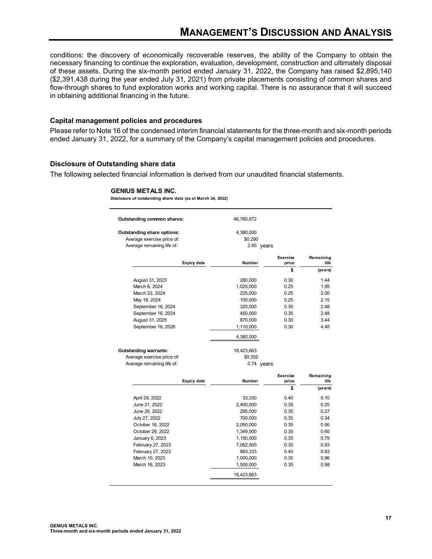conditions: the discovery of economically recoverable reserves, the ability of the Company to obtain the necessary financing to continue the exploration, evaluation, development, construction and ultimately disposal of these assets. During the six-month period ended January 31, 2022, the Company has raised \$2,895,140 (\$2,391,438 during the year ended July 31, 2021) from private placements consisting of common shares and flow-through shares to fund exploration works and working capital. There is no assurance that it will succeed in obtaining additional financing in the future.

#### **Capital management policies and procedures**

Please refer to Note 16 of the condensed interim financial statements for the three-month and six-month periods ended January 31, 2022, for a summary of the Company's capital management policies and procedures.

#### **Disclosure of Outstanding share data**

The following selected financial information is derived from our unaudited financial statements.

#### **GENIUS METALS INC.**

**Disclosure of outstanding share data (as at March 24, 2022)**

| <b>Outstanding common shares:</b> | 46,760,672 |                          |                   |
|-----------------------------------|------------|--------------------------|-------------------|
| <b>Outstanding share options:</b> | 4,380,000  |                          |                   |
| Average exercise price of:        | \$0.290    |                          |                   |
| Average remaining life of:        |            | 2.95 years               |                   |
| <b>Expiry date</b>                | Number     | <b>Exercise</b><br>price | Remaining<br>life |
|                                   |            | \$                       | (years)           |
| August 31, 2023                   | 280,000    | 0.30                     | 1.44              |
| March 6, 2024                     | 1,025,000  | 0.25                     | 1.95              |
| March 23, 2024                    | 225,000    | 0.25                     | 2.00              |
| May 18, 2024                      | 100,000    | 0.25                     | 2.15              |
| September 16, 2024                | 320,000    | 0.30                     | 2.48              |
| September 16, 2024                | 450,000    | 0.35                     | 2.48              |
| August 31, 2025                   | 870,000    | 0.30                     | 3.44              |
| September 16, 2026                | 1,110,000  | 0.30                     | 4.48              |
|                                   | 4,380,000  |                          |                   |
| <b>Outstanding warrants:</b>      | 18,423,663 |                          |                   |
| Average exercise price of:        | \$0.352    |                          |                   |
| Average remaining life of:        |            | 0.74 years               |                   |
|                                   |            | <b>Exercise</b>          | Remaining         |
| <b>Expiry date</b>                | Number     | price                    | life              |
|                                   |            | \$                       | (years)           |
| April 29, 2022                    | 33,330     | 0.40                     | 0.10              |
| June 21, 2022                     | 2,400,000  | 0.35                     | 0.25              |
| June 29, 2022                     | 295,000    | 0.35                     | 0.27              |
| July 27, 2022                     | 700,000    | 0.35                     | 0.34              |
| October 16, 2022                  | 2,050,000  | 0.35                     | 0.56              |
| October 29, 2022                  | 1,349,500  | 0.35                     | 0.60              |
| January 6, 2023                   | 1,150,000  | 0.35                     | 0.79              |
| February 27, 2023                 | 7,062,500  | 0.35                     | 0.93              |
| February 27, 2023                 | 883,333    | 0.40                     | 0.93              |
| March 10, 2023                    | 1,000,000  | 0.35                     | 0.96              |
| March 16, 2023                    | 1,500,000  | 0.35                     | 0.98              |
|                                   | 18,423,663 |                          |                   |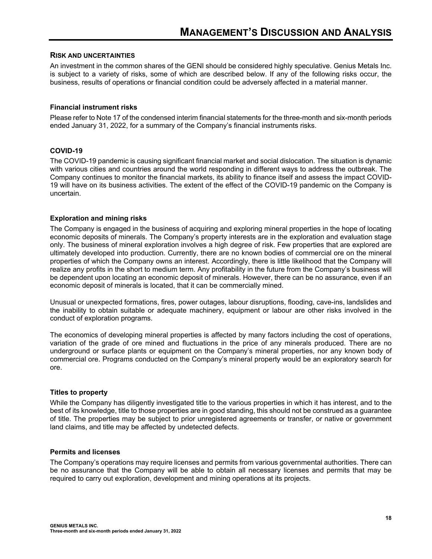#### **RISK AND UNCERTAINTIES**

An investment in the common shares of the GENI should be considered highly speculative. Genius Metals Inc. is subject to a variety of risks, some of which are described below. If any of the following risks occur, the business, results of operations or financial condition could be adversely affected in a material manner.

#### **Financial instrument risks**

Please refer to Note 17 of the condensed interim financial statements for the three-month and six-month periods ended January 31, 2022, for a summary of the Company's financial instruments risks.

#### **COVID-19**

The COVID-19 pandemic is causing significant financial market and social dislocation. The situation is dynamic with various cities and countries around the world responding in different ways to address the outbreak. The Company continues to monitor the financial markets, its ability to finance itself and assess the impact COVID-19 will have on its business activities. The extent of the effect of the COVID-19 pandemic on the Company is uncertain.

#### **Exploration and mining risks**

The Company is engaged in the business of acquiring and exploring mineral properties in the hope of locating economic deposits of minerals. The Company's property interests are in the exploration and evaluation stage only. The business of mineral exploration involves a high degree of risk. Few properties that are explored are ultimately developed into production. Currently, there are no known bodies of commercial ore on the mineral properties of which the Company owns an interest. Accordingly, there is little likelihood that the Company will realize any profits in the short to medium term. Any profitability in the future from the Company's business will be dependent upon locating an economic deposit of minerals. However, there can be no assurance, even if an economic deposit of minerals is located, that it can be commercially mined.

Unusual or unexpected formations, fires, power outages, labour disruptions, flooding, cave-ins, landslides and the inability to obtain suitable or adequate machinery, equipment or labour are other risks involved in the conduct of exploration programs.

The economics of developing mineral properties is affected by many factors including the cost of operations, variation of the grade of ore mined and fluctuations in the price of any minerals produced. There are no underground or surface plants or equipment on the Company's mineral properties, nor any known body of commercial ore. Programs conducted on the Company's mineral property would be an exploratory search for ore.

#### **Titles to property**

While the Company has diligently investigated title to the various properties in which it has interest, and to the best of its knowledge, title to those properties are in good standing, this should not be construed as a guarantee of title. The properties may be subject to prior unregistered agreements or transfer, or native or government land claims, and title may be affected by undetected defects.

#### **Permits and licenses**

The Company's operations may require licenses and permits from various governmental authorities. There can be no assurance that the Company will be able to obtain all necessary licenses and permits that may be required to carry out exploration, development and mining operations at its projects.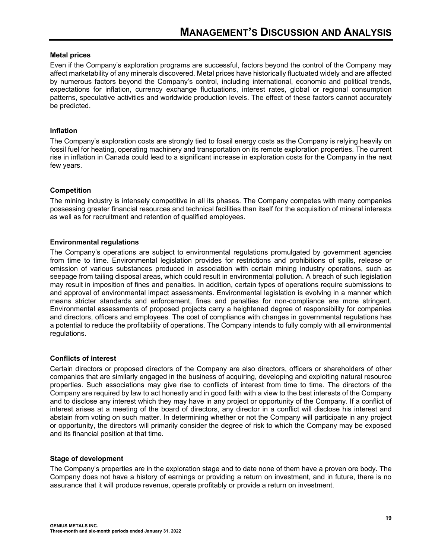#### **Metal prices**

Even if the Company's exploration programs are successful, factors beyond the control of the Company may affect marketability of any minerals discovered. Metal prices have historically fluctuated widely and are affected by numerous factors beyond the Company's control, including international, economic and political trends, expectations for inflation, currency exchange fluctuations, interest rates, global or regional consumption patterns, speculative activities and worldwide production levels. The effect of these factors cannot accurately be predicted.

#### **Inflation**

The Company's exploration costs are strongly tied to fossil energy costs as the Company is relying heavily on fossil fuel for heating, operating machinery and transportation on its remote exploration properties. The current rise in inflation in Canada could lead to a significant increase in exploration costs for the Company in the next few years.

#### **Competition**

The mining industry is intensely competitive in all its phases. The Company competes with many companies possessing greater financial resources and technical facilities than itself for the acquisition of mineral interests as well as for recruitment and retention of qualified employees.

#### **Environmental regulations**

The Company's operations are subject to environmental regulations promulgated by government agencies from time to time. Environmental legislation provides for restrictions and prohibitions of spills, release or emission of various substances produced in association with certain mining industry operations, such as seepage from tailing disposal areas, which could result in environmental pollution. A breach of such legislation may result in imposition of fines and penalties. In addition, certain types of operations require submissions to and approval of environmental impact assessments. Environmental legislation is evolving in a manner which means stricter standards and enforcement, fines and penalties for non-compliance are more stringent. Environmental assessments of proposed projects carry a heightened degree of responsibility for companies and directors, officers and employees. The cost of compliance with changes in governmental regulations has a potential to reduce the profitability of operations. The Company intends to fully comply with all environmental regulations.

#### **Conflicts of interest**

Certain directors or proposed directors of the Company are also directors, officers or shareholders of other companies that are similarly engaged in the business of acquiring, developing and exploiting natural resource properties. Such associations may give rise to conflicts of interest from time to time. The directors of the Company are required by law to act honestly and in good faith with a view to the best interests of the Company and to disclose any interest which they may have in any project or opportunity of the Company. If a conflict of interest arises at a meeting of the board of directors, any director in a conflict will disclose his interest and abstain from voting on such matter. In determining whether or not the Company will participate in any project or opportunity, the directors will primarily consider the degree of risk to which the Company may be exposed and its financial position at that time.

#### **Stage of development**

The Company's properties are in the exploration stage and to date none of them have a proven ore body. The Company does not have a history of earnings or providing a return on investment, and in future, there is no assurance that it will produce revenue, operate profitably or provide a return on investment.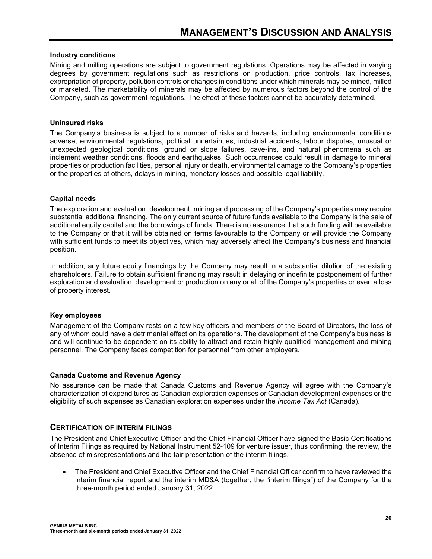#### **Industry conditions**

Mining and milling operations are subject to government regulations. Operations may be affected in varying degrees by government regulations such as restrictions on production, price controls, tax increases, expropriation of property, pollution controls or changes in conditions under which minerals may be mined, milled or marketed. The marketability of minerals may be affected by numerous factors beyond the control of the Company, such as government regulations. The effect of these factors cannot be accurately determined.

#### **Uninsured risks**

The Company's business is subject to a number of risks and hazards, including environmental conditions adverse, environmental regulations, political uncertainties, industrial accidents, labour disputes, unusual or unexpected geological conditions, ground or slope failures, cave-ins, and natural phenomena such as inclement weather conditions, floods and earthquakes. Such occurrences could result in damage to mineral properties or production facilities, personal injury or death, environmental damage to the Company's properties or the properties of others, delays in mining, monetary losses and possible legal liability.

#### **Capital needs**

The exploration and evaluation, development, mining and processing of the Company's properties may require substantial additional financing. The only current source of future funds available to the Company is the sale of additional equity capital and the borrowings of funds. There is no assurance that such funding will be available to the Company or that it will be obtained on terms favourable to the Company or will provide the Company with sufficient funds to meet its objectives, which may adversely affect the Company's business and financial position.

In addition, any future equity financings by the Company may result in a substantial dilution of the existing shareholders. Failure to obtain sufficient financing may result in delaying or indefinite postponement of further exploration and evaluation, development or production on any or all of the Company's properties or even a loss of property interest.

#### **Key employees**

Management of the Company rests on a few key officers and members of the Board of Directors, the loss of any of whom could have a detrimental effect on its operations. The development of the Company's business is and will continue to be dependent on its ability to attract and retain highly qualified management and mining personnel. The Company faces competition for personnel from other employers.

#### **Canada Customs and Revenue Agency**

No assurance can be made that Canada Customs and Revenue Agency will agree with the Company's characterization of expenditures as Canadian exploration expenses or Canadian development expenses or the eligibility of such expenses as Canadian exploration expenses under the *Income Tax Act* (Canada).

#### **CERTIFICATION OF INTERIM FILINGS**

The President and Chief Executive Officer and the Chief Financial Officer have signed the Basic Certifications of Interim Filings as required by National Instrument 52-109 for venture issuer, thus confirming, the review, the absence of misrepresentations and the fair presentation of the interim filings.

 The President and Chief Executive Officer and the Chief Financial Officer confirm to have reviewed the interim financial report and the interim MD&A (together, the "interim filings") of the Company for the three-month period ended January 31, 2022.